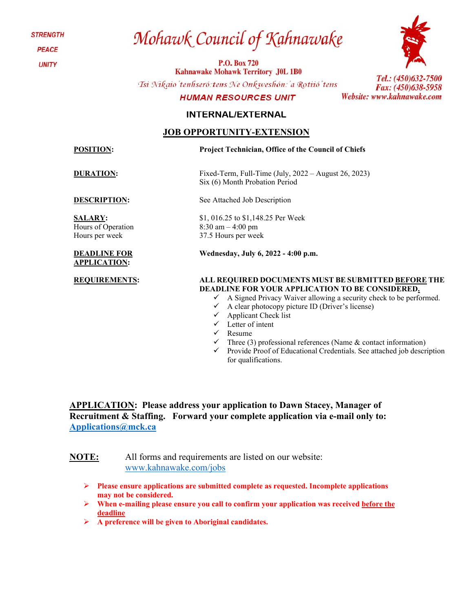**STRENGTH** 

**PEACE** 

**UNITY** 

# Mohawk Council of Kahnawake

**P.O. Box 720 Kahnawake Mohawk Territory J0L 1B0** 

Tsi Nikaio'tenhseró: tens Ne Onkweshón: 'a Rotiió'tens

#### **HUMAN RESOURCES UNIT**



Tel.: (450)632-7500 Fax: (450)638-5958 Website: www.kahnawake.com

#### **INTERNAL/EXTERNAL**

#### **JOB OPPORTUNITY-EXTENSION**

**POSITION: Project Technician, Office of the Council of Chiefs**

**DURATION:** Fixed-Term, Full-Time (July, 2022 – August 26, 2023)

**SALARY:**  Hours of Operation Hours per week

#### **DEADLINE FOR APPLICATION:**

**DESCRIPTION:** See Attached Job Description

Six (6) Month Probation Period

\$1, 016.25 to \$1,148.25 Per Week 8:30 am – 4:00 pm 37.5 Hours per week

**Wednesday, July 6, 2022 - 4:00 p.m.**

#### **REQUIREMENTS: ALL REQUIRED DOCUMENTS MUST BE SUBMITTED BEFORE THE DEADLINE FOR YOUR APPLICATION TO BE CONSIDERED.**

- $\checkmark$  A Signed Privacy Waiver allowing a security check to be performed.
- $\checkmark$  A clear photocopy picture ID (Driver's license)
- $\checkmark$  Applicant Check list
- $\checkmark$  Letter of intent
- $\checkmark$  Resume
	- Three (3) professional references (Name & contact information)
- $\checkmark$  Provide Proof of Educational Credentials. See attached job description for qualifications.

**APPLICATION: Please address your application to Dawn Stacey, Manager of Recruitment & Staffing. Forward your complete application via e-mail only to: [Applications@mck.ca](mailto:Applications@mck.ca)**

**NOTE:** All forms and requirements are listed on our website: [www.kahnawake.com/jobs](http://www.kahnawake.com/jobs)

- **Please ensure applications are submitted complete as requested. Incomplete applications may not be considered.**
- **When e-mailing please ensure you call to confirm your application was received before the deadline**
- **A preference will be given to Aboriginal candidates.**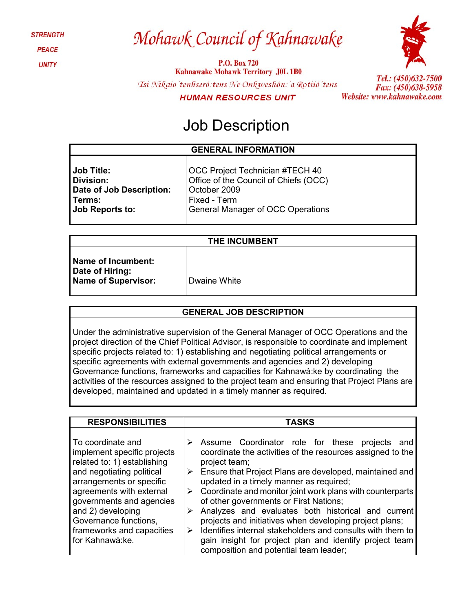**STRENGTH PEACE** 

**UNITY** 

## Mohawk Council of Kahnawake

**P.O. Box 720 Kahnawake Mohawk Territory J0L 1B0** Tsi Nikaio' tenhseró: tens Ne Onkweshón: 'a Rotiió' tens **HUMAN RESOURCES UNIT** 



Tel.: (450)632-7500 Fax: (450)638-5958 Website: www.kahnawake.com

### Job Description

#### **GENERAL INFORMATION**

**Job Title: Division: Date of Job Description: Terms: Job Reports to:**

OCC Project Technician #TECH 40 Office of the Council of Chiefs (OCC) October 2009 Fixed - Term General Manager of OCC Operations

| <b>Name of Incumbent:</b>  |  |
|----------------------------|--|
| Date of Hiring:            |  |
| <b>Name of Supervisor:</b> |  |

**Dwaine White** 

#### **GENERAL JOB DESCRIPTION**

Under the administrative supervision of the General Manager of OCC Operations and the project direction of the Chief Political Advisor, is responsible to coordinate and implement specific projects related to: 1) establishing and negotiating political arrangements or specific agreements with external governments and agencies and 2) developing Governance functions, frameworks and capacities for Kahnawà:ke by coordinating the activities of the resources assigned to the project team and ensuring that Project Plans are developed, maintained and updated in a timely manner as required.

| <b>RESPONSIBILITIES</b>     | <b>TASKS</b>                                                               |
|-----------------------------|----------------------------------------------------------------------------|
| To coordinate and           | Assume Coordinator role for these projects                                 |
| implement specific projects | and                                                                        |
| related to: 1) establishing | coordinate the activities of the resources assigned to the                 |
| project team;               | $\triangleright$ Ensure that Project Plans are developed, maintained and   |
| and negotiating political   | updated in a timely manner as required;                                    |
| arrangements or specific    | $\triangleright$ Coordinate and monitor joint work plans with counterparts |
| agreements with external    | of other governments or First Nations;                                     |
| governments and agencies    | Analyzes and evaluates both historical and current                         |
| and 2) developing           | projects and initiatives when developing project plans;                    |
| Governance functions,       | Identifies internal stakeholders and consults with them to                 |
| frameworks and capacities   | gain insight for project plan and identify project team                    |
| for Kahnawà:ke.             | composition and potential team leader;                                     |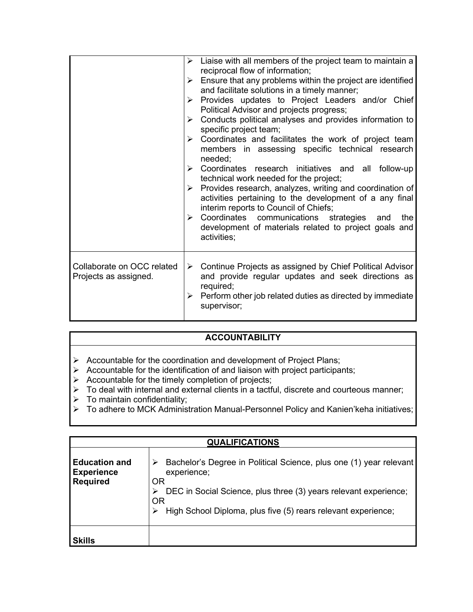|                                                     | Liaise with all members of the project team to maintain a<br>➤<br>reciprocal flow of information;<br>Ensure that any problems within the project are identified<br>➤<br>and facilitate solutions in a timely manner;<br>Provides updates to Project Leaders and/or Chief<br>➤<br>Political Advisor and projects progress;<br>Conducts political analyses and provides information to<br>$\triangleright$<br>specific project team;<br>$\triangleright$ Coordinates and facilitates the work of project team<br>members in assessing specific technical research<br>needed;<br>> Coordinates research initiatives and all follow-up<br>technical work needed for the project;<br>$\triangleright$ Provides research, analyzes, writing and coordination of<br>activities pertaining to the development of a any final<br>interim reports to Council of Chiefs;<br>$\triangleright$ Coordinates communications strategies<br>the<br>and<br>development of materials related to project goals and<br>activities; |
|-----------------------------------------------------|---------------------------------------------------------------------------------------------------------------------------------------------------------------------------------------------------------------------------------------------------------------------------------------------------------------------------------------------------------------------------------------------------------------------------------------------------------------------------------------------------------------------------------------------------------------------------------------------------------------------------------------------------------------------------------------------------------------------------------------------------------------------------------------------------------------------------------------------------------------------------------------------------------------------------------------------------------------------------------------------------------------|
| Collaborate on OCC related<br>Projects as assigned. | $\triangleright$ Continue Projects as assigned by Chief Political Advisor<br>and provide regular updates and seek directions as<br>required;<br>Perform other job related duties as directed by immediate<br>➤<br>supervisor;                                                                                                                                                                                                                                                                                                                                                                                                                                                                                                                                                                                                                                                                                                                                                                                 |

### **ACCOUNTABILITY**

- $\triangleright$  Accountable for the coordination and development of Project Plans;
- $\triangleright$  Accountable for the identification of and liaison with project participants;
- $\triangleright$  Accountable for the timely completion of projects;
- $\triangleright$  To deal with internal and external clients in a tactful, discrete and courteous manner;
- $\triangleright$  To maintain confidentiality;
- To adhere to MCK Administration Manual-Personnel Policy and Kanien'keha initiatives;

| <b>QUALIFICATIONS</b>                                        |                                                                                                                                                                                                                                    |  |
|--------------------------------------------------------------|------------------------------------------------------------------------------------------------------------------------------------------------------------------------------------------------------------------------------------|--|
| <b>Education and</b><br><b>Experience</b><br><b>Required</b> | Bachelor's Degree in Political Science, plus one (1) year relevant<br>experience;<br>OR<br>DEC in Social Science, plus three (3) years relevant experience;<br>OR<br>High School Diploma, plus five (5) rears relevant experience; |  |
| Skills                                                       |                                                                                                                                                                                                                                    |  |